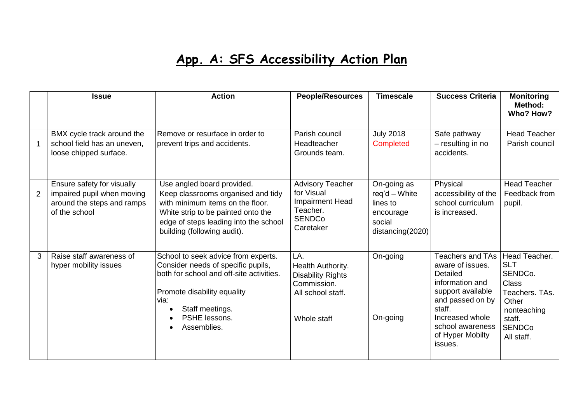## **App. A: SFS Accessibility Action Plan**

|   | <b>Issue</b>                                                                                            | <b>Action</b>                                                                                                                                                                                                      | <b>People/Resources</b>                                                                                 | <b>Timescale</b>                                                                      | <b>Success Criteria</b>                                                                                                                                                                             | <b>Monitoring</b><br>Method:<br>Who? How?                                                                                                 |
|---|---------------------------------------------------------------------------------------------------------|--------------------------------------------------------------------------------------------------------------------------------------------------------------------------------------------------------------------|---------------------------------------------------------------------------------------------------------|---------------------------------------------------------------------------------------|-----------------------------------------------------------------------------------------------------------------------------------------------------------------------------------------------------|-------------------------------------------------------------------------------------------------------------------------------------------|
|   | BMX cycle track around the<br>school field has an uneven,<br>loose chipped surface.                     | Remove or resurface in order to<br>prevent trips and accidents.                                                                                                                                                    | Parish council<br>Headteacher<br>Grounds team.                                                          | <b>July 2018</b><br>Completed                                                         | Safe pathway<br>- resulting in no<br>accidents.                                                                                                                                                     | <b>Head Teacher</b><br>Parish council                                                                                                     |
| 2 | Ensure safety for visually<br>impaired pupil when moving<br>around the steps and ramps<br>of the school | Use angled board provided.<br>Keep classrooms organised and tidy<br>with minimum items on the floor.<br>White strip to be painted onto the<br>edge of steps leading into the school<br>building (following audit). | <b>Advisory Teacher</b><br>for Visual<br>Impairment Head<br>Teacher.<br><b>SENDCo</b><br>Caretaker      | On-going as<br>$req'd - White$<br>lines to<br>encourage<br>social<br>distancing(2020) | Physical<br>accessibility of the<br>school curriculum<br>is increased.                                                                                                                              | <b>Head Teacher</b><br>Feedback from<br>pupil.                                                                                            |
| 3 | Raise staff awareness of<br>hyper mobility issues                                                       | School to seek advice from experts.<br>Consider needs of specific pupils,<br>both for school and off-site activities.<br>Promote disability equality<br>via:<br>Staff meetings.<br>PSHE lessons.<br>Assemblies.    | LA.<br>Health Authority.<br><b>Disability Rights</b><br>Commission.<br>All school staff.<br>Whole staff | On-going<br>On-going                                                                  | <b>Teachers and TAs</b><br>aware of issues.<br>Detailed<br>information and<br>support available<br>and passed on by<br>staff.<br>Increased whole<br>school awareness<br>of Hyper Mobilty<br>issues. | Head Teacher.<br><b>SLT</b><br>SENDCo.<br><b>Class</b><br>Teachers. TAs.<br>Other<br>nonteaching<br>staff.<br><b>SENDCo</b><br>All staff. |